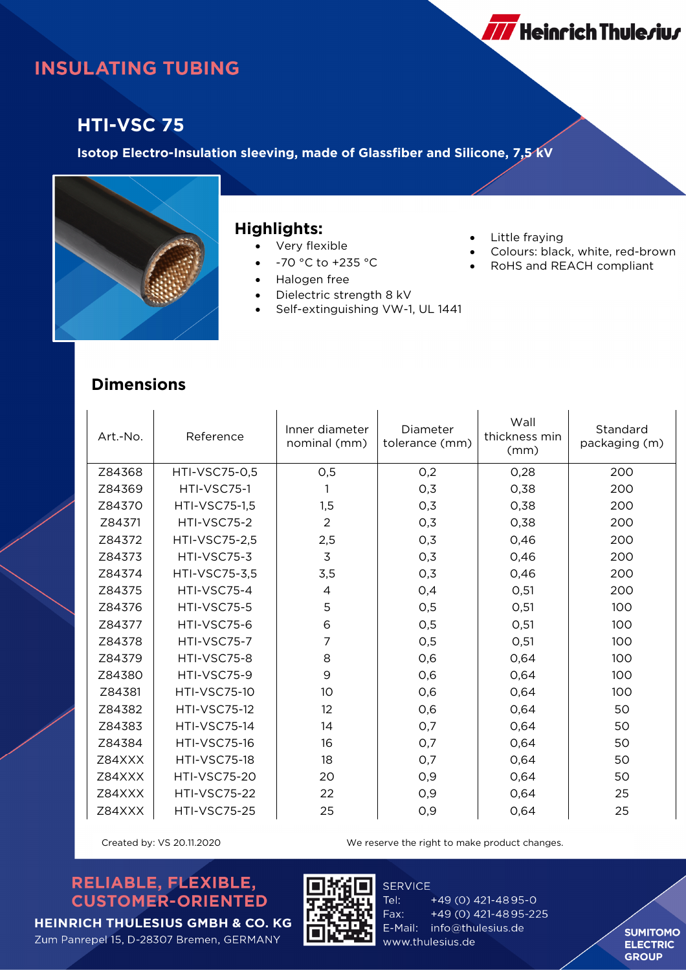# **INSULATING TUBING**

### **HTI-VSC 75**

**Isotop Electro-Insulation sleeving, made of Glassfiber and Silicone, 7,5 kV**



#### **Highlights:**

- Very flexible
- -70 °C to +235 °C
- Halogen free
- Dielectric strength 8 kV
- Self-extinguishing VW-1, UL 1441
- Little fraying
- Colours: black, white, red-brown

**777** Heinrich Thule*r*iu*r* 

RoHS and REACH compliant

### **Dimensions**

| Art.-No. | Reference            | Inner diameter<br>nominal (mm) | Diameter<br>tolerance (mm) | Wall<br>thickness min<br>(mm) | Standard<br>packaging (m) |
|----------|----------------------|--------------------------------|----------------------------|-------------------------------|---------------------------|
| Z84368   | <b>HTI-VSC75-0,5</b> | 0,5                            | O,2                        | 0,28                          | 200                       |
| Z84369   | HTI-VSC75-1          | 1                              | 0,3                        | 0,38                          | 200                       |
| Z84370   | <b>HTI-VSC75-1,5</b> | 1,5                            | 0,3                        | 0,38                          | 200                       |
| Z84371   | HTI-VSC75-2          | $\overline{2}$                 | 0,3                        | 0,38                          | 200                       |
| Z84372   | <b>HTI-VSC75-2,5</b> | 2,5                            | 0,3                        | 0,46                          | 200                       |
| Z84373   | HTI-VSC75-3          | 3                              | 0,3                        | 0,46                          | 200                       |
| Z84374   | HTI-VSC75-3,5        | 3,5                            | 0,3                        | 0,46                          | 200                       |
| Z84375   | HTI-VSC75-4          | 4                              | 0,4                        | O, 51                         | 200                       |
| Z84376   | HTI-VSC75-5          | 5                              | 0,5                        | O, 51                         | 100                       |
| Z84377   | HTI-VSC75-6          | 6                              | O,5                        | 0,51                          | 100                       |
| Z84378   | HTI-VSC75-7          | 7                              | 0,5                        | O, 51                         | 100                       |
| Z84379   | HTI-VSC75-8          | 8                              | 0,6                        | 0,64                          | 100                       |
| Z84380   | HTI-VSC75-9          | 9                              | 0,6                        | 0,64                          | 100                       |
| Z84381   | <b>HTI-VSC75-10</b>  | 10                             | 0,6                        | 0,64                          | 100                       |
| Z84382   | <b>HTI-VSC75-12</b>  | 12                             | 0,6                        | 0,64                          | 50                        |
| Z84383   | <b>HTI-VSC75-14</b>  | 14                             | 0,7                        | 0,64                          | 50                        |
| Z84384   | <b>HTI-VSC75-16</b>  | 16                             | 0,7                        | 0,64                          | 50                        |
| Z84XXX   | <b>HTI-VSC75-18</b>  | 18                             | 0,7                        | 0,64                          | 50                        |
| Z84XXX   | <b>HTI-VSC75-20</b>  | 20                             | O,9                        | 0,64                          | 50                        |
| Z84XXX   | <b>HTI-VSC75-22</b>  | 22                             | 0,9                        | 0,64                          | 25                        |
| Z84XXX   | <b>HTI-VSC75-25</b>  | 25                             | O,9                        | 0,64                          | 25                        |

Created by: VS 20.11.2020 We reserve the right to make product changes.

#### RELIABLE, FLEXIBLE, **CUSTOMER-ORIENTED**



**SERVICE** Tel: +49 (0) 421-4895-0 Fax: +49 (0) 421-4895-225 E-Mail: info@thulesius.de www.thulesius.de

**SUMITOMO ELECTRIC GROUP** 

**HEINRICH THULESIUS GMBH & CO. KG** Zum Panrepel 15, D-28307 Bremen, GERMANY